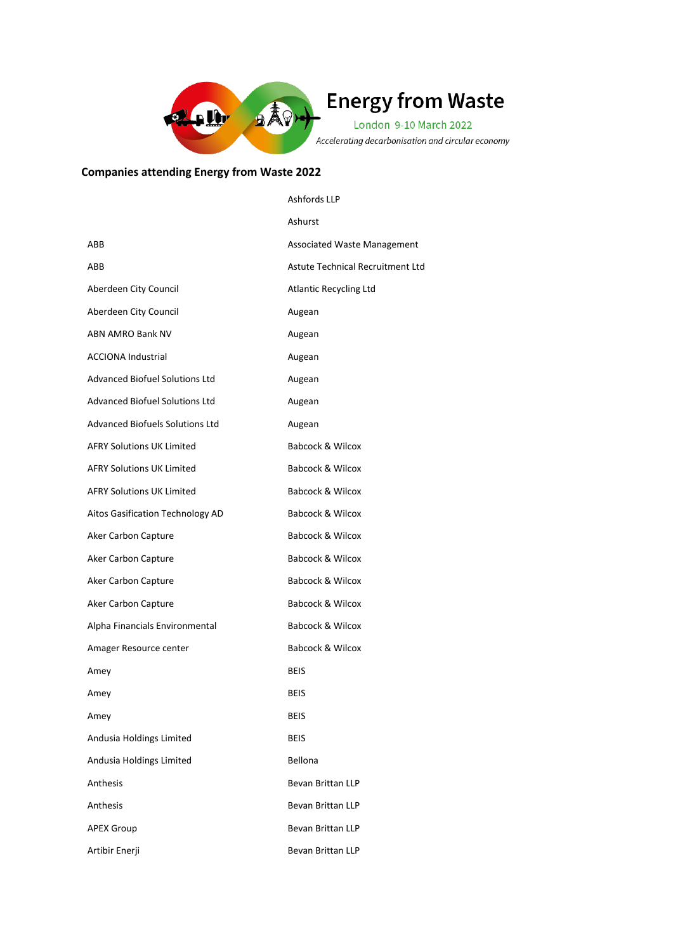

## **Energy from Waste**

London 9-10 March 2022 Accelerating decarbonisation and circular economy

## **Companies attending Energy from Waste 2022**

|                                        | Ashfords LLP                       |
|----------------------------------------|------------------------------------|
|                                        | Ashurst                            |
| ABB                                    | <b>Associated Waste Management</b> |
| ABB                                    | Astute Technical Recruitment Ltd   |
| Aberdeen City Council                  | <b>Atlantic Recycling Ltd</b>      |
| Aberdeen City Council                  | Augean                             |
| ABN AMRO Bank NV                       | Augean                             |
| <b>ACCIONA Industrial</b>              | Augean                             |
| <b>Advanced Biofuel Solutions Ltd</b>  | Augean                             |
| <b>Advanced Biofuel Solutions Ltd</b>  | Augean                             |
| <b>Advanced Biofuels Solutions Ltd</b> | Augean                             |
| <b>AFRY Solutions UK Limited</b>       | Babcock & Wilcox                   |
| <b>AFRY Solutions UK Limited</b>       | <b>Babcock &amp; Wilcox</b>        |
| <b>AFRY Solutions UK Limited</b>       | Babcock & Wilcox                   |
| Aitos Gasification Technology AD       | Babcock & Wilcox                   |
| Aker Carbon Capture                    | <b>Babcock &amp; Wilcox</b>        |
| Aker Carbon Capture                    | Babcock & Wilcox                   |
| Aker Carbon Capture                    | Babcock & Wilcox                   |
| Aker Carbon Capture                    | <b>Babcock &amp; Wilcox</b>        |
| Alpha Financials Environmental         | Babcock & Wilcox                   |
| Amager Resource center                 | Babcock & Wilcox                   |
| Amey                                   | <b>BEIS</b>                        |
| Amey                                   | BEIS                               |
| Amey                                   | BEIS                               |
| Andusia Holdings Limited               | <b>BEIS</b>                        |
| Andusia Holdings Limited               | Bellona                            |
| Anthesis                               | Bevan Brittan LLP                  |
| Anthesis                               | Bevan Brittan LLP                  |
| <b>APEX Group</b>                      | Bevan Brittan LLP                  |
| Artibir Enerji                         | Bevan Brittan LLP                  |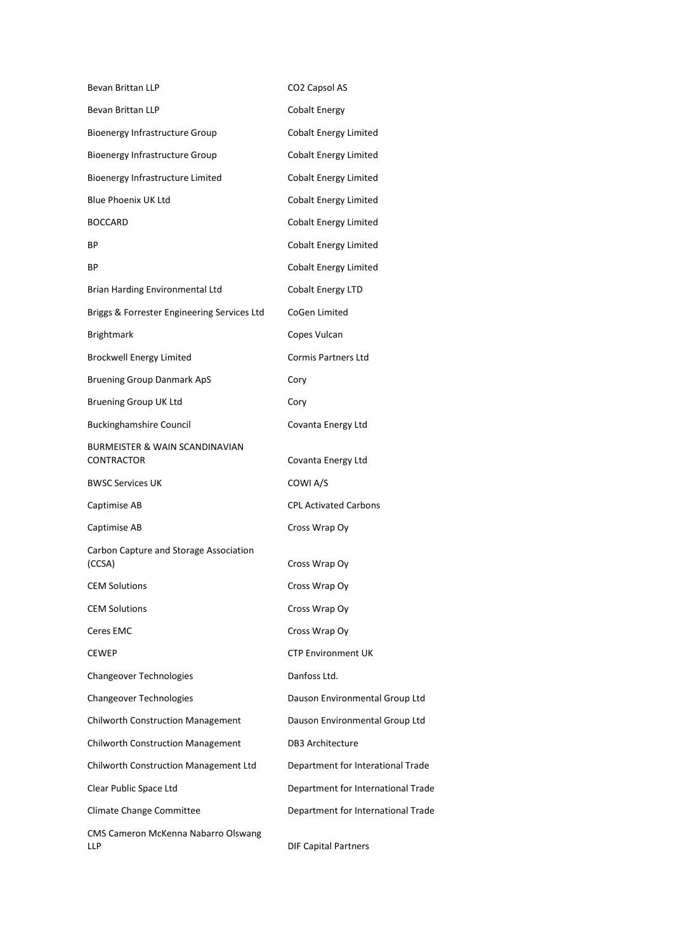| Bevan Brittan LLP                                | CO <sub>2</sub> Capsol AS          |
|--------------------------------------------------|------------------------------------|
| <b>Bevan Brittan LLP</b>                         | <b>Cobalt Energy</b>               |
| <b>Bioenergy Infrastructure Group</b>            | <b>Cobalt Energy Limited</b>       |
| <b>Bioenergy Infrastructure Group</b>            | <b>Cobalt Energy Limited</b>       |
| Bioenergy Infrastructure Limited                 | <b>Cobalt Energy Limited</b>       |
| <b>Blue Phoenix UK Ltd</b>                       | <b>Cobalt Energy Limited</b>       |
| BOCCARD                                          | <b>Cobalt Energy Limited</b>       |
| ВP                                               | <b>Cobalt Energy Limited</b>       |
| ВP                                               | <b>Cobalt Energy Limited</b>       |
| Brian Harding Environmental Ltd                  | <b>Cobalt Energy LTD</b>           |
| Briggs & Forrester Engineering Services Ltd      | CoGen Limited                      |
| <b>Brightmark</b>                                | Copes Vulcan                       |
| <b>Brockwell Energy Limited</b>                  | Cormis Partners Ltd                |
| <b>Bruening Group Danmark ApS</b>                | Cory                               |
| <b>Bruening Group UK Ltd</b>                     | Cory                               |
| <b>Buckinghamshire Council</b>                   | Covanta Energy Ltd                 |
| BURMEISTER & WAIN SCANDINAVIAN<br>CONTRACTOR     | Covanta Energy Ltd                 |
| <b>BWSC Services UK</b>                          | COWI A/S                           |
| Captimise AB                                     | <b>CPL Activated Carbons</b>       |
| Captimise AB                                     | Cross Wrap Oy                      |
| Carbon Capture and Storage Association<br>(CCSA) | Cross Wrap Oy                      |
| <b>CEM Solutions</b>                             | Cross Wrap Oy                      |
| <b>CEM Solutions</b>                             | Cross Wrap Oy                      |
| Ceres EMC                                        | Cross Wrap Oy                      |
| CEWEP                                            | <b>CTP Environment UK</b>          |
| Changeover Technologies                          | Danfoss Ltd.                       |
| Changeover Technologies                          | Dauson Environmental Group Ltd     |
| <b>Chilworth Construction Management</b>         | Dauson Environmental Group Ltd     |
| <b>Chilworth Construction Management</b>         | DB3 Architecture                   |
| Chilworth Construction Management Ltd            | Department for Interational Trade  |
| Clear Public Space Ltd                           | Department for International Trade |
| Climate Change Committee                         | Department for International Trade |
| CMS Cameron McKenna Nabarro Olswang<br>LLP       | <b>DIF Capital Partners</b>        |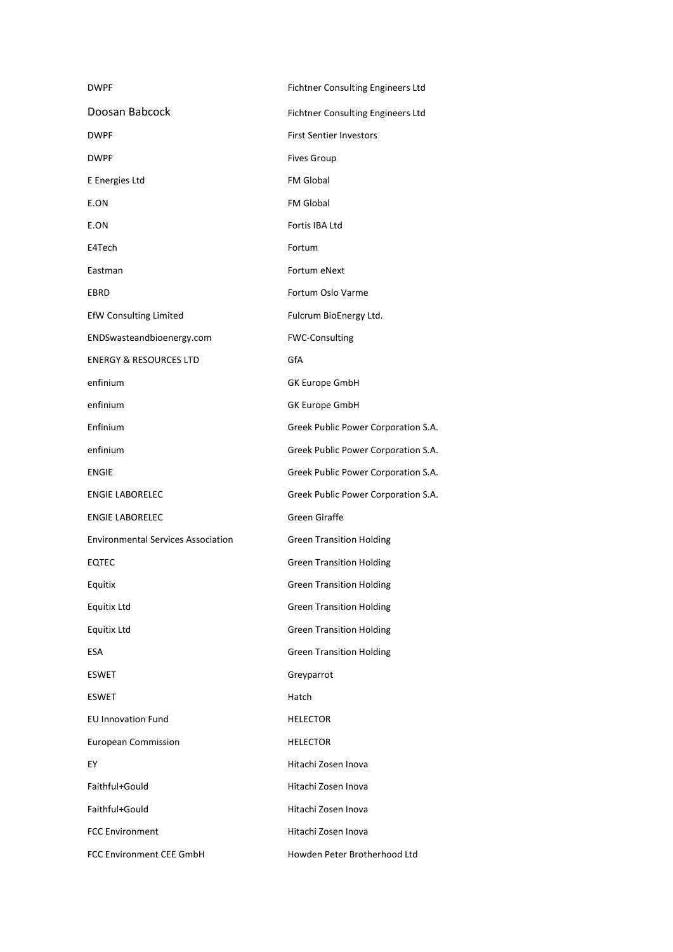| <b>DWPF</b>                               | Fichtner Consulting Engineers Ltd   |
|-------------------------------------------|-------------------------------------|
| Doosan Babcock                            | Fichtner Consulting Engineers Ltd   |
| DWPF                                      | <b>First Sentier Investors</b>      |
| DWPF                                      | <b>Fives Group</b>                  |
| E Energies Ltd                            | <b>FM Global</b>                    |
| E.ON                                      | <b>FM Global</b>                    |
| E.ON                                      | Fortis IBA Ltd                      |
| E4Tech                                    | Fortum                              |
| Eastman                                   | Fortum eNext                        |
| EBRD                                      | Fortum Oslo Varme                   |
| <b>EfW Consulting Limited</b>             | Fulcrum BioEnergy Ltd.              |
| ENDSwasteandbioenergy.com                 | <b>FWC-Consulting</b>               |
| <b>ENERGY &amp; RESOURCES LTD</b>         | GfA                                 |
| enfinium                                  | <b>GK Europe GmbH</b>               |
| enfinium                                  | <b>GK Europe GmbH</b>               |
| Enfinium                                  | Greek Public Power Corporation S.A. |
| enfinium                                  | Greek Public Power Corporation S.A. |
| <b>ENGIE</b>                              | Greek Public Power Corporation S.A. |
| <b>ENGIE LABORELEC</b>                    | Greek Public Power Corporation S.A. |
| <b>ENGIE LABORELEC</b>                    | <b>Green Giraffe</b>                |
| <b>Environmental Services Association</b> | <b>Green Transition Holding</b>     |
| EQTEC                                     | <b>Green Transition Holding</b>     |
| Equitix                                   | <b>Green Transition Holding</b>     |
| Equitix Ltd                               | <b>Green Transition Holding</b>     |
| Equitix Ltd                               | <b>Green Transition Holding</b>     |
| ESA                                       | <b>Green Transition Holding</b>     |
| <b>ESWET</b>                              | Greyparrot                          |
| ESWET                                     | Hatch                               |
| <b>EU Innovation Fund</b>                 | <b>HELECTOR</b>                     |
| <b>European Commission</b>                | <b>HELECTOR</b>                     |
| ΕY                                        | Hitachi Zosen Inova                 |
| Faithful+Gould                            | Hitachi Zosen Inova                 |
| Faithful+Gould                            | Hitachi Zosen Inova                 |
| <b>FCC Environment</b>                    | Hitachi Zosen Inova                 |
| FCC Environment CEE GmbH                  | Howden Peter Brotherhood Ltd        |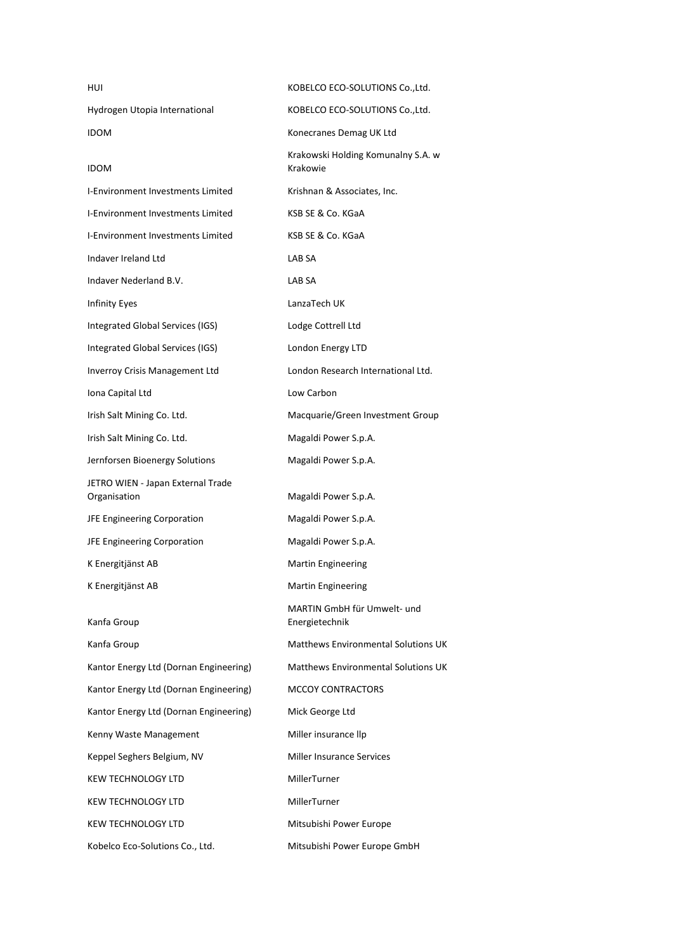| HUI                                               | KOBELCO ECO-SOLUTIONS Co., Ltd.                |
|---------------------------------------------------|------------------------------------------------|
| Hydrogen Utopia International                     | KOBELCO ECO-SOLUTIONS Co., Ltd.                |
| <b>IDOM</b>                                       | Konecranes Demag UK Ltd                        |
| <b>IDOM</b>                                       | Krakowski Holding Komunalny S.A. w<br>Krakowie |
| I-Environment Investments Limited                 | Krishnan & Associates, Inc.                    |
| <b>I-Environment Investments Limited</b>          | KSB SE & Co. KGaA                              |
| I-Environment Investments Limited                 | KSB SE & Co. KGaA                              |
| Indaver Ireland Ltd                               | LAB SA                                         |
| Indaver Nederland B.V.                            | LAB SA                                         |
| <b>Infinity Eyes</b>                              | LanzaTech UK                                   |
| Integrated Global Services (IGS)                  | Lodge Cottrell Ltd                             |
| Integrated Global Services (IGS)                  | London Energy LTD                              |
| <b>Inverroy Crisis Management Ltd</b>             | London Research International Ltd.             |
| Iona Capital Ltd                                  | Low Carbon                                     |
| Irish Salt Mining Co. Ltd.                        | Macquarie/Green Investment Group               |
| Irish Salt Mining Co. Ltd.                        | Magaldi Power S.p.A.                           |
| Jernforsen Bioenergy Solutions                    | Magaldi Power S.p.A.                           |
| JETRO WIEN - Japan External Trade<br>Organisation | Magaldi Power S.p.A.                           |
| JFE Engineering Corporation                       | Magaldi Power S.p.A.                           |
| JFE Engineering Corporation                       | Magaldi Power S.p.A.                           |
| K Energitjänst AB                                 | <b>Martin Engineering</b>                      |
| K Energitjänst AB                                 | Martin Engineering                             |
| Kanfa Group                                       | MARTIN GmbH für Umwelt- und<br>Energietechnik  |
| Kanfa Group                                       | <b>Matthews Environmental Solutions UK</b>     |
| Kantor Energy Ltd (Dornan Engineering)            | Matthews Environmental Solutions UK            |
| Kantor Energy Ltd (Dornan Engineering)            | MCCOY CONTRACTORS                              |
| Kantor Energy Ltd (Dornan Engineering)            | Mick George Ltd                                |
| Kenny Waste Management                            | Miller insurance llp                           |
| Keppel Seghers Belgium, NV                        | <b>Miller Insurance Services</b>               |
| <b>KEW TECHNOLOGY LTD</b>                         | MillerTurner                                   |
| <b>KEW TECHNOLOGY LTD</b>                         | MillerTurner                                   |
| <b>KEW TECHNOLOGY LTD</b>                         | Mitsubishi Power Europe                        |
| Kobelco Eco-Solutions Co., Ltd.                   | Mitsubishi Power Europe GmbH                   |
|                                                   |                                                |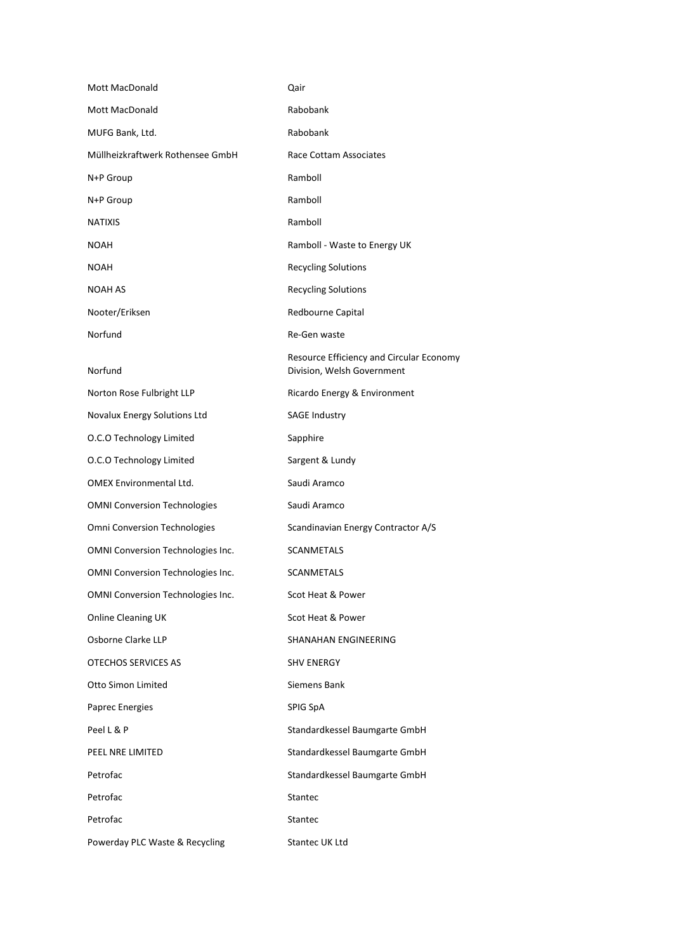| Mott MacDonald                           | Qair                                                                   |
|------------------------------------------|------------------------------------------------------------------------|
| Mott MacDonald                           | Rabobank                                                               |
| MUFG Bank, Ltd.                          | Rabobank                                                               |
| Müllheizkraftwerk Rothensee GmbH         | Race Cottam Associates                                                 |
| N+P Group                                | Ramboll                                                                |
| N+P Group                                | Ramboll                                                                |
| <b>NATIXIS</b>                           | Ramboll                                                                |
| <b>NOAH</b>                              | Ramboll - Waste to Energy UK                                           |
| <b>NOAH</b>                              | <b>Recycling Solutions</b>                                             |
| <b>NOAH AS</b>                           | <b>Recycling Solutions</b>                                             |
| Nooter/Eriksen                           | Redbourne Capital                                                      |
| Norfund                                  | Re-Gen waste                                                           |
| Norfund                                  | Resource Efficiency and Circular Economy<br>Division, Welsh Government |
| Norton Rose Fulbright LLP                | Ricardo Energy & Environment                                           |
| Novalux Energy Solutions Ltd             | <b>SAGE Industry</b>                                                   |
| O.C.O Technology Limited                 | Sapphire                                                               |
| O.C.O Technology Limited                 | Sargent & Lundy                                                        |
| <b>OMEX Environmental Ltd.</b>           | Saudi Aramco                                                           |
| <b>OMNI Conversion Technologies</b>      | Saudi Aramco                                                           |
| Omni Conversion Technologies             | Scandinavian Energy Contractor A/S                                     |
| OMNI Conversion Technologies Inc.        | <b>SCANMETALS</b>                                                      |
| <b>OMNI Conversion Technologies Inc.</b> | SCANMETALS                                                             |
| OMNI Conversion Technologies Inc.        | Scot Heat & Power                                                      |
| Online Cleaning UK                       | Scot Heat & Power                                                      |
| Osborne Clarke LLP                       | SHANAHAN ENGINEERING                                                   |
| OTECHOS SERVICES AS                      | <b>SHV ENERGY</b>                                                      |
| Otto Simon Limited                       | Siemens Bank                                                           |
| Paprec Energies                          | SPIG SpA                                                               |
| Peel L & P                               | Standardkessel Baumgarte GmbH                                          |
| PEEL NRE LIMITED                         | Standardkessel Baumgarte GmbH                                          |
| Petrofac                                 | Standardkessel Baumgarte GmbH                                          |
| Petrofac                                 | Stantec                                                                |
| Petrofac                                 | Stantec                                                                |
| Powerday PLC Waste & Recycling           | Stantec UK Ltd                                                         |